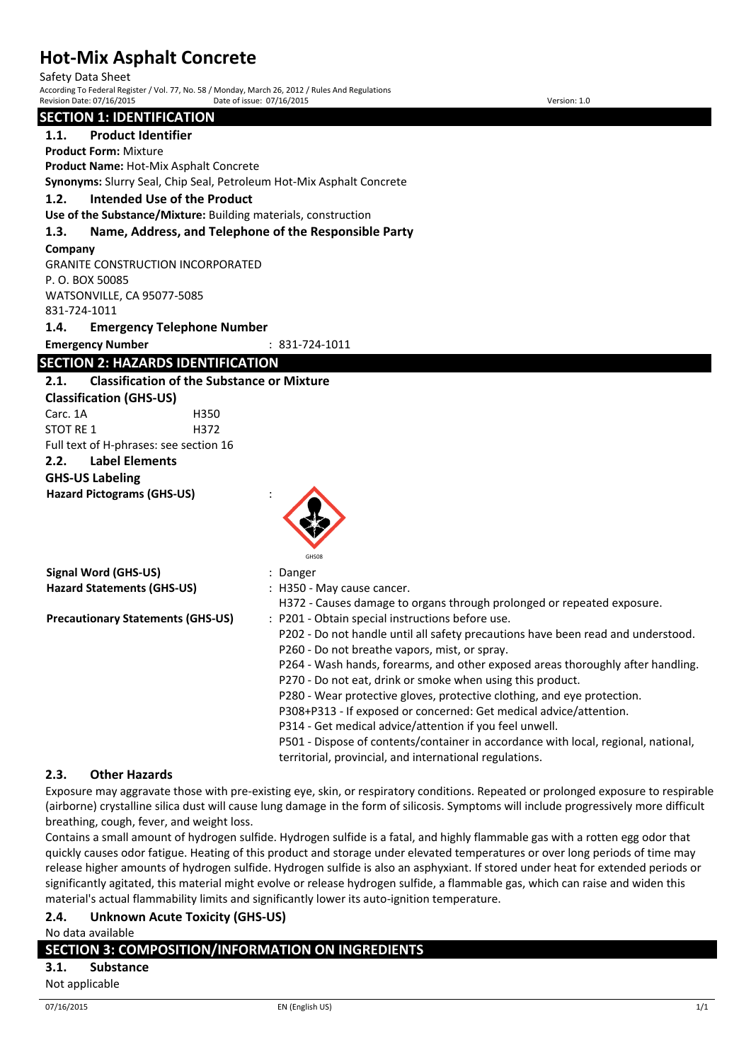Safety Data Sheet

According To Federal Register / Vol. 77, No. 58 / Monday, March 26, 2012 / Rules And Regulations Revision Date: 07/16/2015 Date of issue: 07/16/2015 Version: 1.0

## **SECTION 1: IDENTIFICATION 1.1. Product Identifier Product Form:** Mixture **Product Name:** Hot-Mix Asphalt Concrete **Synonyms:** Slurry Seal, Chip Seal, Petroleum Hot-Mix Asphalt Concrete **1.2. Intended Use of the Product Use of the Substance/Mixture:** Building materials, construction **1.3. Name, Address, and Telephone of the Responsible Party Company**  GRANITE CONSTRUCTION INCORPORATED P. O. BOX 50085 WATSONVILLE, CA 95077-5085 831-724-1011 **1.4. Emergency Telephone Number Emergency Number** : 831-724-1011 **SECTION 2: HAZARDS IDENTIFICATION 2.1. Classification of the Substance or Mixture Classification (GHS-US)** Carc. 1A H350 STOT RF 1 H372 Full text of H-phrases: see section 16 **2.2. Label Elements GHS-US Labeling Hazard Pictograms (GHS-US)** : GHS08 **Signal Word (GHS-US)** : Danger **Hazard Statements (GHS-US)** : H350 - May cause cancer. H372 - Causes damage to organs through prolonged or repeated exposure. **Precautionary Statements (GHS-US)** : P201 - Obtain special instructions before use. P202 - Do not handle until all safety precautions have been read and understood. P260 - Do not breathe vapors, mist, or spray. P264 - Wash hands, forearms, and other exposed areas thoroughly after handling. P270 - Do not eat, drink or smoke when using this product. P280 - Wear protective gloves, protective clothing, and eye protection. P308+P313 - If exposed or concerned: Get medical advice/attention. P314 - Get medical advice/attention if you feel unwell. P501 - Dispose of contents/container in accordance with local, regional, national,

### **2.3. Other Hazards**

Exposure may aggravate those with pre-existing eye, skin, or respiratory conditions. Repeated or prolonged exposure to respirable (airborne) crystalline silica dust will cause lung damage in the form of silicosis. Symptoms will include progressively more difficult breathing, cough, fever, and weight loss.

territorial, provincial, and international regulations.

Contains a small amount of hydrogen sulfide. Hydrogen sulfide is a fatal, and highly flammable gas with a rotten egg odor that quickly causes odor fatigue. Heating of this product and storage under elevated temperatures or over long periods of time may release higher amounts of hydrogen sulfide. Hydrogen sulfide is also an asphyxiant. If stored under heat for extended periods or significantly agitated, this material might evolve or release hydrogen sulfide, a flammable gas, which can raise and widen this material's actual flammability limits and significantly lower its auto-ignition temperature.

## **2.4. Unknown Acute Toxicity (GHS-US)**

No data available

## **SECTION 3: COMPOSITION/INFORMATION ON INGREDIENTS**

**3.1. Substance**

Not applicable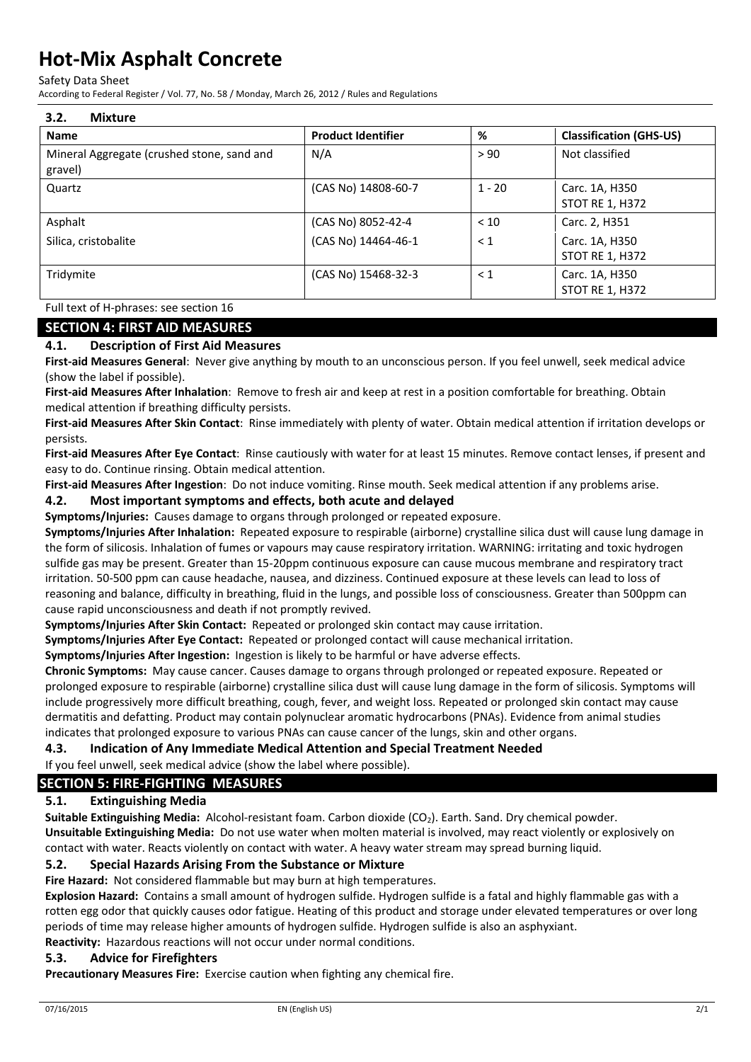Safety Data Sheet

According to Federal Register / Vol. 77, No. 58 / Monday, March 26, 2012 / Rules and Regulations

| <b>Product Identifier</b> | %        | <b>Classification (GHS-US)</b>           |
|---------------------------|----------|------------------------------------------|
| N/A                       | > 90     | Not classified                           |
| (CAS No) 14808-60-7       | $1 - 20$ | Carc. 1A, H350<br><b>STOT RE 1, H372</b> |
| (CAS No) 8052-42-4        | < 10     | Carc. 2, H351                            |
| (CAS No) 14464-46-1       | $\leq 1$ | Carc. 1A, H350<br><b>STOT RE 1, H372</b> |
| (CAS No) 15468-32-3       | $\leq 1$ | Carc. 1A, H350<br><b>STOT RE 1, H372</b> |
|                           |          |                                          |

Full text of H-phrases: see section 16

#### **SECTION 4: FIRST AID MEASURES**

#### **4.1. Description of First Aid Measures**

**First-aid Measures General**: Never give anything by mouth to an unconscious person. If you feel unwell, seek medical advice (show the label if possible).

**First-aid Measures After Inhalation**: Remove to fresh air and keep at rest in a position comfortable for breathing. Obtain medical attention if breathing difficulty persists.

**First-aid Measures After Skin Contact**: Rinse immediately with plenty of water. Obtain medical attention if irritation develops or persists.

**First-aid Measures After Eye Contact**: Rinse cautiously with water for at least 15 minutes. Remove contact lenses, if present and easy to do. Continue rinsing. Obtain medical attention.

**First-aid Measures After Ingestion**: Do not induce vomiting. Rinse mouth. Seek medical attention if any problems arise.

#### **4.2. Most important symptoms and effects, both acute and delayed**

**Symptoms/Injuries:** Causes damage to organs through prolonged or repeated exposure.

**Symptoms/Injuries After Inhalation:** Repeated exposure to respirable (airborne) crystalline silica dust will cause lung damage in the form of silicosis. Inhalation of fumes or vapours may cause respiratory irritation. WARNING: irritating and toxic hydrogen sulfide gas may be present. Greater than 15-20ppm continuous exposure can cause mucous membrane and respiratory tract irritation. 50-500 ppm can cause headache, nausea, and dizziness. Continued exposure at these levels can lead to loss of reasoning and balance, difficulty in breathing, fluid in the lungs, and possible loss of consciousness. Greater than 500ppm can cause rapid unconsciousness and death if not promptly revived.

**Symptoms/Injuries After Skin Contact:** Repeated or prolonged skin contact may cause irritation.

**Symptoms/Injuries After Eye Contact:** Repeated or prolonged contact will cause mechanical irritation.

**Symptoms/Injuries After Ingestion:** Ingestion is likely to be harmful or have adverse effects.

**Chronic Symptoms:** May cause cancer. Causes damage to organs through prolonged or repeated exposure. Repeated or prolonged exposure to respirable (airborne) crystalline silica dust will cause lung damage in the form of silicosis. Symptoms will include progressively more difficult breathing, cough, fever, and weight loss. Repeated or prolonged skin contact may cause dermatitis and defatting. Product may contain polynuclear aromatic hydrocarbons (PNAs). Evidence from animal studies indicates that prolonged exposure to various PNAs can cause cancer of the lungs, skin and other organs.

#### **4.3. Indication of Any Immediate Medical Attention and Special Treatment Needed**

If you feel unwell, seek medical advice (show the label where possible).

## **SECTION 5: FIRE-FIGHTING MEASURES**

### **5.1. Extinguishing Media**

**Suitable Extinguishing Media:** Alcohol-resistant foam. Carbon dioxide (CO<sub>2</sub>). Earth. Sand. Dry chemical powder. **Unsuitable Extinguishing Media:** Do not use water when molten material is involved, may react violently or explosively on contact with water. Reacts violently on contact with water. A heavy water stream may spread burning liquid.

#### **5.2. Special Hazards Arising From the Substance or Mixture**

**Fire Hazard:** Not considered flammable but may burn at high temperatures.

**Explosion Hazard:** Contains a small amount of hydrogen sulfide. Hydrogen sulfide is a fatal and highly flammable gas with a rotten egg odor that quickly causes odor fatigue. Heating of this product and storage under elevated temperatures or over long periods of time may release higher amounts of hydrogen sulfide. Hydrogen sulfide is also an asphyxiant. **Reactivity:** Hazardous reactions will not occur under normal conditions.

### **5.3. Advice for Firefighters**

**Precautionary Measures Fire:** Exercise caution when fighting any chemical fire.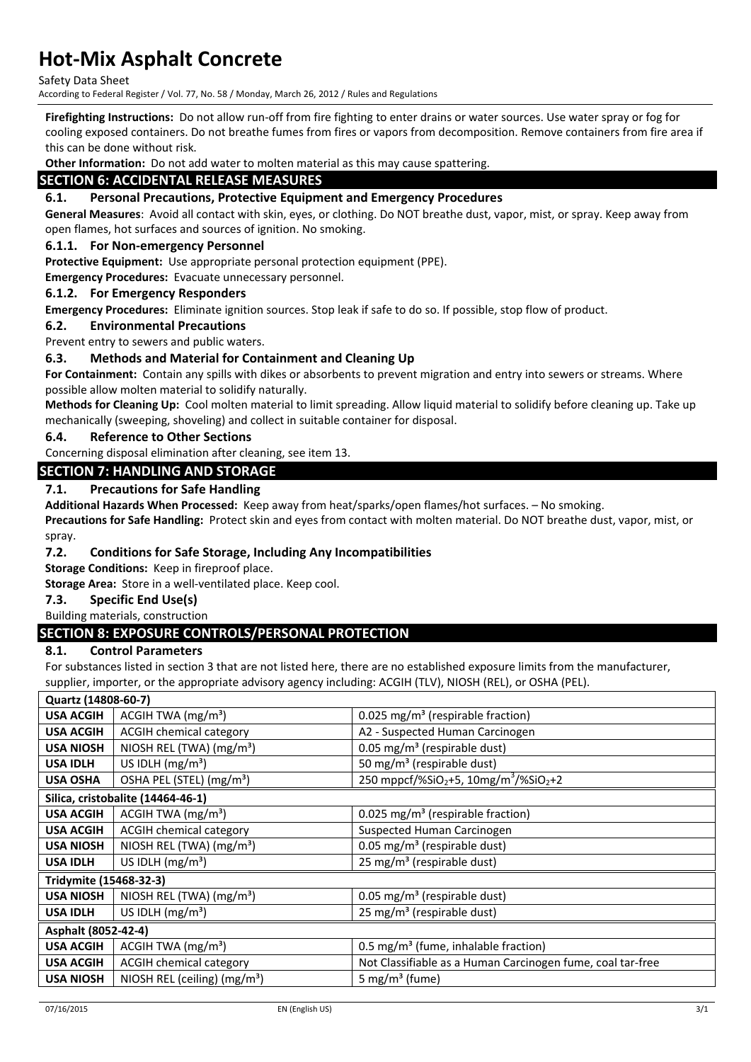Safety Data Sheet

According to Federal Register / Vol. 77, No. 58 / Monday, March 26, 2012 / Rules and Regulations

**Firefighting Instructions:** Do not allow run-off from fire fighting to enter drains or water sources. Use water spray or fog for cooling exposed containers. Do not breathe fumes from fires or vapors from decomposition. Remove containers from fire area if this can be done without risk.

**Other Information:** Do not add water to molten material as this may cause spattering.

## **SECTION 6: ACCIDENTAL RELEASE MEASURES**

#### **6.1. Personal Precautions, Protective Equipment and Emergency Procedures**

**General Measures**: Avoid all contact with skin, eyes, or clothing. Do NOT breathe dust, vapor, mist, or spray. Keep away from open flames, hot surfaces and sources of ignition. No smoking.

#### **6.1.1. For Non-emergency Personnel**

**Protective Equipment:** Use appropriate personal protection equipment (PPE).

**Emergency Procedures:** Evacuate unnecessary personnel.

#### **6.1.2. For Emergency Responders**

**Emergency Procedures:** Eliminate ignition sources. Stop leak if safe to do so. If possible, stop flow of product.

#### **6.2. Environmental Precautions**

Prevent entry to sewers and public waters.

#### **6.3. Methods and Material for Containment and Cleaning Up**

**For Containment:** Contain any spills with dikes or absorbents to prevent migration and entry into sewers or streams. Where possible allow molten material to solidify naturally.

**Methods for Cleaning Up:** Cool molten material to limit spreading. Allow liquid material to solidify before cleaning up. Take up mechanically (sweeping, shoveling) and collect in suitable container for disposal.

#### **6.4. Reference to Other Sections**

Concerning disposal elimination after cleaning, see item 13.

#### **SECTION 7: HANDLING AND STORAGE**

#### **7.1. Precautions for Safe Handling**

**Additional Hazards When Processed:** Keep away from heat/sparks/open flames/hot surfaces. – No smoking.

**Precautions for Safe Handling:** Protect skin and eyes from contact with molten material. Do NOT breathe dust, vapor, mist, or spray.

#### **7.2. Conditions for Safe Storage, Including Any Incompatibilities**

**Storage Conditions:** Keep in fireproof place.

**Storage Area:** Store in a well-ventilated place. Keep cool.

#### **7.3. Specific End Use(s)**

#### Building materials, construction

### **SECTION 8: EXPOSURE CONTROLS/PERSONAL PROTECTION**

#### **8.1. Control Parameters**

For substances listed in section 3 that are not listed here, there are no established exposure limits from the manufacturer, supplier, importer, or the appropriate advisory agency including: ACGIH (TLV), NIOSH (REL), or OSHA (PEL).

| Quartz (14808-60-7)    |                                          |                                                                           |
|------------------------|------------------------------------------|---------------------------------------------------------------------------|
| <b>USA ACGIH</b>       | ACGIH TWA $(mg/m3)$                      | 0.025 mg/m <sup>3</sup> (respirable fraction)                             |
| <b>USA ACGIH</b>       | <b>ACGIH chemical category</b>           | A2 - Suspected Human Carcinogen                                           |
| <b>USA NIOSH</b>       | NIOSH REL (TWA) (mg/m <sup>3</sup> )     | 0.05 mg/m <sup>3</sup> (respirable dust)                                  |
| <b>USA IDLH</b>        | US IDLH $(mg/m3)$                        | 50 mg/m <sup>3</sup> (respirable dust)                                    |
| <b>USA OSHA</b>        | OSHA PEL (STEL) (mg/m <sup>3</sup> )     | 250 mppcf/%SiO <sub>2</sub> +5, 10mg/m <sup>3</sup> /%SiO <sub>2</sub> +2 |
|                        | Silica, cristobalite (14464-46-1)        |                                                                           |
| <b>USA ACGIH</b>       | ACGIH TWA $(mg/m3)$                      | 0.025 mg/m <sup>3</sup> (respirable fraction)                             |
| <b>USA ACGIH</b>       | <b>ACGIH chemical category</b>           | Suspected Human Carcinogen                                                |
| <b>USA NIOSH</b>       | NIOSH REL (TWA) (mg/m <sup>3</sup> )     | 0.05 mg/m <sup>3</sup> (respirable dust)                                  |
| <b>USA IDLH</b>        | US IDLH $(mg/m3)$                        | 25 mg/m <sup>3</sup> (respirable dust)                                    |
| Tridymite (15468-32-3) |                                          |                                                                           |
| <b>USA NIOSH</b>       | NIOSH REL (TWA) (mg/m <sup>3</sup> )     | 0.05 mg/m <sup>3</sup> (respirable dust)                                  |
| <b>USA IDLH</b>        | US IDLH $(mg/m3)$                        | 25 mg/m <sup>3</sup> (respirable dust)                                    |
| Asphalt (8052-42-4)    |                                          |                                                                           |
| <b>USA ACGIH</b>       | ACGIH TWA (mg/m <sup>3</sup> )           | $0.5 \text{ mg/m}^3$ (fume, inhalable fraction)                           |
| <b>USA ACGIH</b>       | <b>ACGIH chemical category</b>           | Not Classifiable as a Human Carcinogen fume, coal tar-free                |
| <b>USA NIOSH</b>       | NIOSH REL (ceiling) (mg/m <sup>3</sup> ) | 5 mg/m <sup>3</sup> (fume)                                                |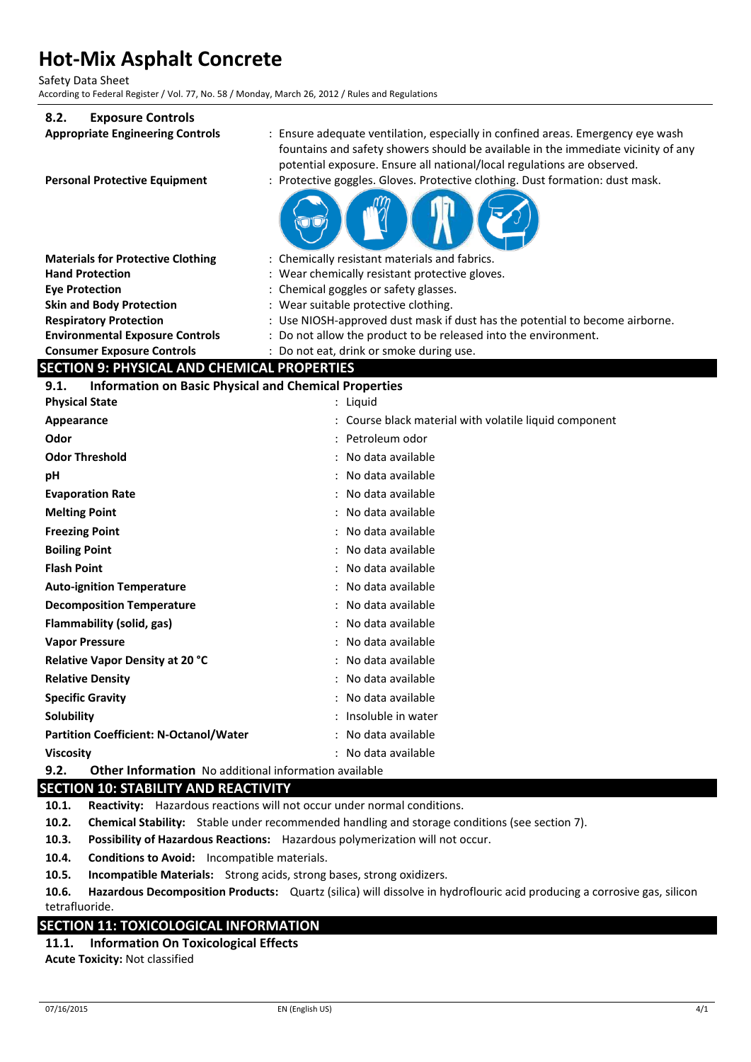Safety Data Sheet

According to Federal Register / Vol. 77, No. 58 / Monday, March 26, 2012 / Rules and Regulations

#### **8.2. Exposure Controls**

| <b>LAPUSULE CUILLIUIS</b>                                            |                                                                                                                                                                                                                                                 |
|----------------------------------------------------------------------|-------------------------------------------------------------------------------------------------------------------------------------------------------------------------------------------------------------------------------------------------|
| <b>Appropriate Engineering Controls</b>                              | : Ensure adequate ventilation, especially in confined areas. Emergency eye wash<br>fountains and safety showers should be available in the immediate vicinity of any<br>potential exposure. Ensure all national/local regulations are observed. |
| <b>Personal Protective Equipment</b>                                 | Protective goggles. Gloves. Protective clothing. Dust formation: dust mask.                                                                                                                                                                     |
|                                                                      |                                                                                                                                                                                                                                                 |
| <b>Materials for Protective Clothing</b>                             | : Chemically resistant materials and fabrics.                                                                                                                                                                                                   |
| <b>Hand Protection</b>                                               | : Wear chemically resistant protective gloves.                                                                                                                                                                                                  |
| <b>Eve Protection</b>                                                | : Chemical goggles or safety glasses.                                                                                                                                                                                                           |
| <b>Skin and Body Protection</b>                                      | : Wear suitable protective clothing.                                                                                                                                                                                                            |
| <b>Respiratory Protection</b>                                        | : Use NIOSH-approved dust mask if dust has the potential to become airborne.                                                                                                                                                                    |
| <b>Environmental Exposure Controls</b>                               | : Do not allow the product to be released into the environment.                                                                                                                                                                                 |
| <b>Consumer Exposure Controls</b>                                    | : Do not eat, drink or smoke during use.                                                                                                                                                                                                        |
| <b>SECTION 9: PHYSICAL AND CHEMICAL PROPERTIES</b>                   |                                                                                                                                                                                                                                                 |
| <b>Information on Basic Physical and Chemical Properties</b><br>9.1. |                                                                                                                                                                                                                                                 |
| <b>Physical State</b>                                                | : Liquid                                                                                                                                                                                                                                        |
| Appearance                                                           | : Course black material with volatile liquid component                                                                                                                                                                                          |
| Odor                                                                 | : Petroleum odor                                                                                                                                                                                                                                |
| <b>Odor Threshold</b>                                                | : No data available                                                                                                                                                                                                                             |
| рH                                                                   | : No data available                                                                                                                                                                                                                             |
| <b>Evaporation Rate</b>                                              | : No data available                                                                                                                                                                                                                             |
| <b>Melting Point</b>                                                 | : No data available                                                                                                                                                                                                                             |
| <b>Freezing Point</b>                                                | : No data available                                                                                                                                                                                                                             |
| <b>Boiling Point</b>                                                 | No data available                                                                                                                                                                                                                               |
| <b>Flash Point</b>                                                   | : No data available                                                                                                                                                                                                                             |
| <b>Auto-ignition Temperature</b>                                     | : No data available                                                                                                                                                                                                                             |
| <b>Decomposition Temperature</b>                                     | No data available                                                                                                                                                                                                                               |
| Flammability (solid, gas)                                            | No data available                                                                                                                                                                                                                               |
| <b>Vapor Pressure</b>                                                | : No data available                                                                                                                                                                                                                             |
| Relative Vapor Density at 20 °C                                      | : No data available                                                                                                                                                                                                                             |
| <b>Relative Density</b>                                              | : No data available                                                                                                                                                                                                                             |
| <b>Specific Gravity</b>                                              | : No data available                                                                                                                                                                                                                             |
| Solubility                                                           | : Insoluble in water                                                                                                                                                                                                                            |
| <b>Partition Coefficient: N-Octanol/Water</b>                        | : No data available                                                                                                                                                                                                                             |
| <b>Viscosity</b>                                                     | : No data available                                                                                                                                                                                                                             |
| 9.2.<br><b>Other Information</b> No additional information available |                                                                                                                                                                                                                                                 |

## **SECTION 10: STABILITY AND REACTIVITY**

**10.1. Reactivity:** Hazardous reactions will not occur under normal conditions.

**10.2. Chemical Stability:** Stable under recommended handling and storage conditions (see section 7).

**10.3. Possibility of Hazardous Reactions:** Hazardous polymerization will not occur.

**10.4. Conditions to Avoid:** Incompatible materials.

**10.5. Incompatible Materials:** Strong acids, strong bases, strong oxidizers.

**10.6. Hazardous Decomposition Products:** Quartz (silica) will dissolve in hydroflouric acid producing a corrosive gas, silicon tetrafluoride.

### **SECTION 11: TOXICOLOGICAL INFORMATION**

**11.1. Information On Toxicological Effects Acute Toxicity:** Not classified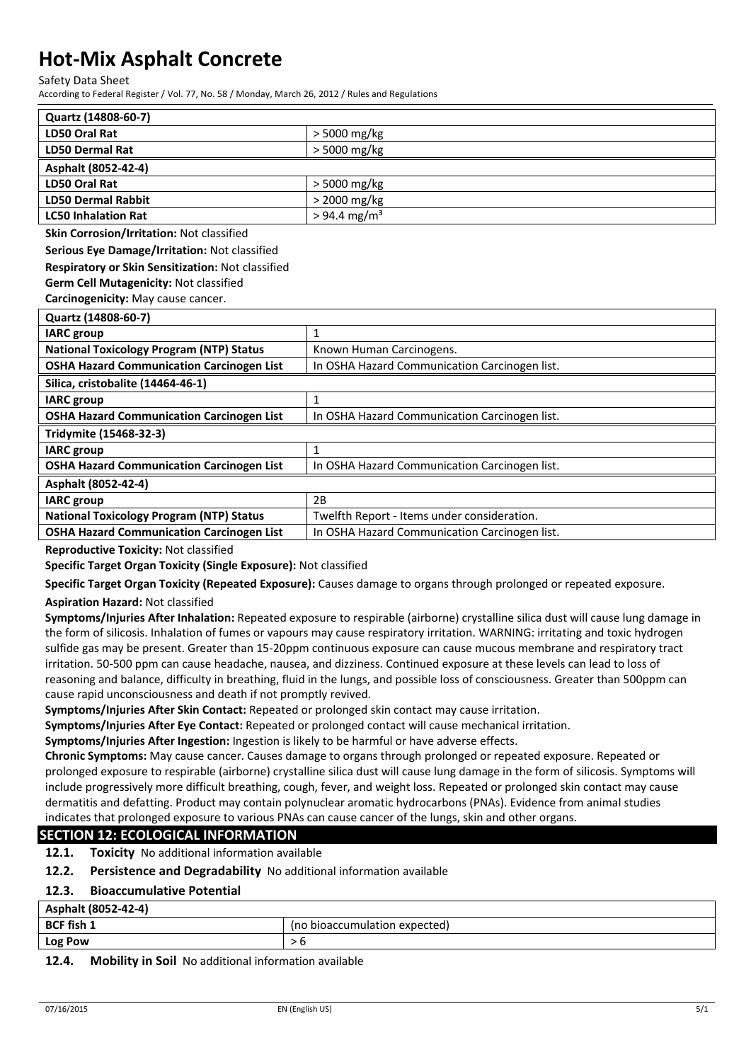Safety Data Sheet

According to Federal Register / Vol. 77, No. 58 / Monday, March 26, 2012 / Rules and Regulations

| Quartz (14808-60-7)        |                            |
|----------------------------|----------------------------|
| LD50 Oral Rat              | $>$ 5000 mg/kg             |
| <b>LD50 Dermal Rat</b>     | > 5000 mg/kg               |
| Asphalt (8052-42-4)        |                            |
| LD50 Oral Rat              | $>$ 5000 mg/kg             |
| <b>LD50 Dermal Rabbit</b>  | > 2000 mg/kg               |
| <b>LC50 Inhalation Rat</b> | $> 94.4$ mg/m <sup>3</sup> |

**Skin Corrosion/Irritation:** Not classified

**Serious Eye Damage/Irritation:** Not classified

#### **Respiratory or Skin Sensitization:** Not classified

**Germ Cell Mutagenicity:** Not classified

**Carcinogenicity:** May cause cancer.

| Quartz (14808-60-7)                              |                                               |
|--------------------------------------------------|-----------------------------------------------|
| <b>IARC</b> group                                |                                               |
| <b>National Toxicology Program (NTP) Status</b>  | Known Human Carcinogens.                      |
| <b>OSHA Hazard Communication Carcinogen List</b> | In OSHA Hazard Communication Carcinogen list. |
| Silica, cristobalite (14464-46-1)                |                                               |
| <b>IARC</b> group                                |                                               |
| <b>OSHA Hazard Communication Carcinogen List</b> | In OSHA Hazard Communication Carcinogen list. |
| Tridymite (15468-32-3)                           |                                               |
| <b>IARC</b> group                                |                                               |
| <b>OSHA Hazard Communication Carcinogen List</b> | In OSHA Hazard Communication Carcinogen list. |
| Asphalt (8052-42-4)                              |                                               |
| <b>IARC</b> group                                | 2B                                            |
| <b>National Toxicology Program (NTP) Status</b>  | Twelfth Report - Items under consideration.   |
| <b>OSHA Hazard Communication Carcinogen List</b> | In OSHA Hazard Communication Carcinogen list. |

**Reproductive Toxicity:** Not classified

**Specific Target Organ Toxicity (Single Exposure):** Not classified

**Specific Target Organ Toxicity (Repeated Exposure):** Causes damage to organs through prolonged or repeated exposure.

#### **Aspiration Hazard:** Not classified

**Symptoms/Injuries After Inhalation:** Repeated exposure to respirable (airborne) crystalline silica dust will cause lung damage in the form of silicosis. Inhalation of fumes or vapours may cause respiratory irritation. WARNING: irritating and toxic hydrogen sulfide gas may be present. Greater than 15-20ppm continuous exposure can cause mucous membrane and respiratory tract irritation. 50-500 ppm can cause headache, nausea, and dizziness. Continued exposure at these levels can lead to loss of reasoning and balance, difficulty in breathing, fluid in the lungs, and possible loss of consciousness. Greater than 500ppm can cause rapid unconsciousness and death if not promptly revived.

**Symptoms/Injuries After Skin Contact:** Repeated or prolonged skin contact may cause irritation.

**Symptoms/Injuries After Eye Contact:** Repeated or prolonged contact will cause mechanical irritation.

**Symptoms/Injuries After Ingestion:** Ingestion is likely to be harmful or have adverse effects.

**Chronic Symptoms:** May cause cancer. Causes damage to organs through prolonged or repeated exposure. Repeated or prolonged exposure to respirable (airborne) crystalline silica dust will cause lung damage in the form of silicosis. Symptoms will include progressively more difficult breathing, cough, fever, and weight loss. Repeated or prolonged skin contact may cause dermatitis and defatting. Product may contain polynuclear aromatic hydrocarbons (PNAs). Evidence from animal studies indicates that prolonged exposure to various PNAs can cause cancer of the lungs, skin and other organs.

### **SECTION 12: ECOLOGICAL INFORMATION**

**12.1. Toxicity** No additional information available

**12.2. Persistence and Degradability** No additional information available

#### **12.3. Bioaccumulative Potential**

| Asphalt (8052-42-4) |                               |
|---------------------|-------------------------------|
| <b>BCF fish 1</b>   | (no bioaccumulation expected) |
| <b>Log Pow</b>      |                               |
|                     |                               |

#### **12.4. Mobility in Soil** No additional information available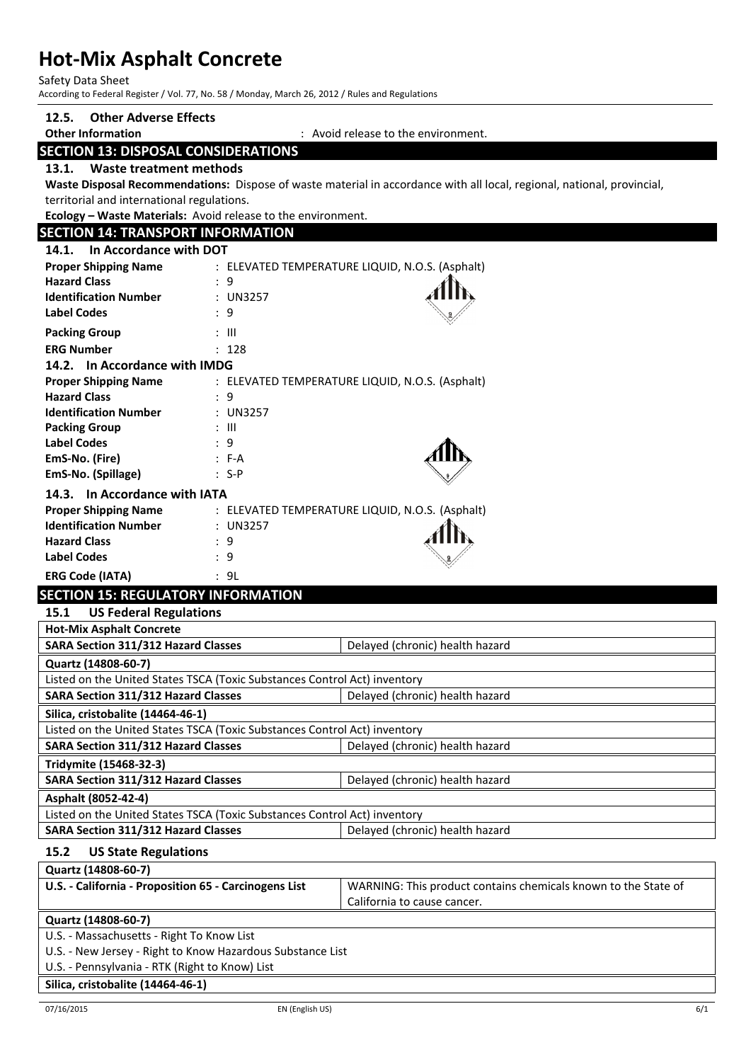Safety Data Sheet

According to Federal Register / Vol. 77, No. 58 / Monday, March 26, 2012 / Rules and Regulations

## **12.5. Other Adverse Effects**

**Other Information** : Avoid release to the environment.

## **SECTION 13: DISPOSAL CONSIDERATIONS**

**13.1. Waste treatment methods**

**Waste Disposal Recommendations:** Dispose of waste material in accordance with all local, regional, national, provincial, territorial and international regulations.

**Ecology – Waste Materials:** Avoid release to the environment.

| <b>SECTION 14: TRANSPORT INFORMATION</b> |                                                                                  |  |
|------------------------------------------|----------------------------------------------------------------------------------|--|
| 14.1. In Accordance with DOT             |                                                                                  |  |
| <b>Proper Shipping Name</b>              | : ELEVATED TEMPERATURE LIQUID, N.O.S. (Asphalt)                                  |  |
| <b>Hazard Class</b>                      | : 9                                                                              |  |
| <b>Identification Number</b>             | : UN3257                                                                         |  |
| <b>Label Codes</b>                       | : 9                                                                              |  |
| <b>Packing Group</b>                     | : III                                                                            |  |
| <b>ERG Number</b>                        | : 128                                                                            |  |
| 14.2. In Accordance with IMDG            |                                                                                  |  |
| <b>Proper Shipping Name</b>              | : ELEVATED TEMPERATURE LIQUID, N.O.S. (Asphalt)                                  |  |
| <b>Hazard Class</b>                      | : 9                                                                              |  |
| <b>Identification Number</b>             | : UN3257                                                                         |  |
| <b>Packing Group</b>                     | : III                                                                            |  |
| <b>Label Codes</b>                       | : 9                                                                              |  |
| EmS-No. (Fire)                           | $F-A$                                                                            |  |
| EmS-No. (Spillage)                       | $: S-P$                                                                          |  |
| 14.3. In Accordance with IATA            |                                                                                  |  |
|                                          | $\mathcal{L}$ FIFILITED TEMPERATURE HOUR M O.C. (A $\mathcal{L}$ - $\mathcal{L}$ |  |

| <b>Proper Shipping Name</b>  | : ELEVATED TEMPERATURE LIQUID, N.O.S. (Asphalt) |       |
|------------------------------|-------------------------------------------------|-------|
| <b>Identification Number</b> | $:$ UN3257                                      |       |
| <b>Hazard Class</b>          | : 9                                             | AHIN, |
| <b>Label Codes</b>           | ٠q                                              |       |
| <b>ERG Code (IATA)</b>       | : 9L                                            |       |

## **SECTION 15: REGULATORY INFORMATION**

| <b>US Federal Regulations</b><br>15.1                                     |                                 |  |
|---------------------------------------------------------------------------|---------------------------------|--|
| <b>Hot-Mix Asphalt Concrete</b>                                           |                                 |  |
| <b>SARA Section 311/312 Hazard Classes</b>                                | Delayed (chronic) health hazard |  |
| Quartz (14808-60-7)                                                       |                                 |  |
| Listed on the United States TSCA (Toxic Substances Control Act) inventory |                                 |  |
| <b>SARA Section 311/312 Hazard Classes</b>                                | Delayed (chronic) health hazard |  |
| Silica, cristobalite (14464-46-1)                                         |                                 |  |
| Listed on the United States TSCA (Toxic Substances Control Act) inventory |                                 |  |
| <b>SARA Section 311/312 Hazard Classes</b>                                | Delayed (chronic) health hazard |  |
| Tridymite (15468-32-3)                                                    |                                 |  |
| <b>SARA Section 311/312 Hazard Classes</b>                                | Delayed (chronic) health hazard |  |
| Asphalt (8052-42-4)                                                       |                                 |  |
| Listed on the United States TSCA (Toxic Substances Control Act) inventory |                                 |  |
| <b>SARA Section 311/312 Hazard Classes</b>                                | Delayed (chronic) health hazard |  |
| <b>US State Regulations</b><br>15.2                                       |                                 |  |
| Quartz (14808-60-7)                                                       |                                 |  |

**U.S. - California - Proposition 65 - Carcinogens List** WARNING: This product contains chemicals known to the State of California to cause cancer.

#### **Quartz (14808-60-7)**

U.S. - Massachusetts - Right To Know List

U.S. - New Jersey - Right to Know Hazardous Substance List

U.S. - Pennsylvania - RTK (Right to Know) List

#### **Silica, cristobalite (14464-46-1)**